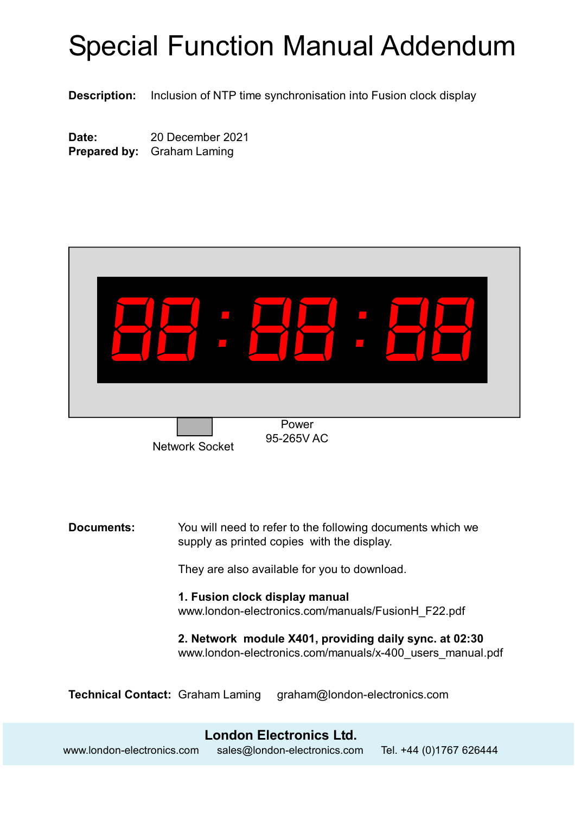# Special Function Manual Addendum

**Description:** Inclusion of NTP time synchronisation into Fusion clock display

**Date:** 20 December 2021 **Prepared by:** Graham Laming



Network Socket

95-265V AC

**Documents:** You will need to refer to the following documents which we supply as printed copies with the display.

They are also available for you to download.

**1. Fusion clock display manual** [www.london-electronics.com/manuals/FusionH\\_F22.pdf](http://www.london-electronics.com/manuals/FusionH_F22.pdf)

**2. Network module X401, providing daily sync. at 02:30** [www.london-electronics.com/manuals/x-400\\_users\\_manual.pdf](http://www.london-electronics.com/manuals/x-400_users_manual.pdf)

**Technical Contact:** Graham Laming [graham@london-electronics.com](mailto:graham@london-electronics.com)

#### **London Electronics Ltd.** www.london-electronics.com [sales@london-electronics.com](mailto:sales@london-electronics.com) Tel. +44 (0)1767 626444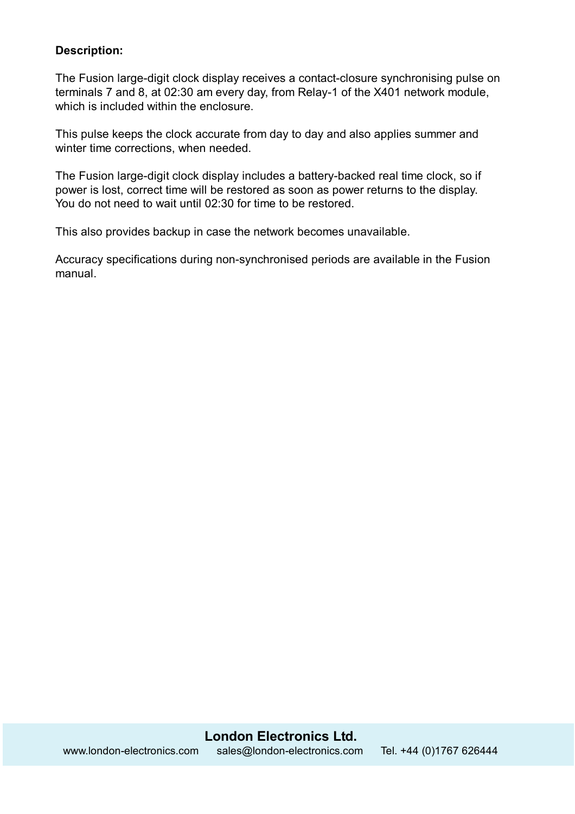## **Description:**

The Fusion large-digit clock display receives a contact-closure synchronising pulse on terminals 7 and 8, at 02:30 am every day, from Relay-1 of the X401 network module, which is included within the enclosure.

This pulse keeps the clock accurate from day to day and also applies summer and winter time corrections, when needed.

The Fusion large-digit clock display includes a battery-backed real time clock, so if power is lost, correct time will be restored as soon as power returns to the display. You do not need to wait until 02:30 for time to be restored.

This also provides backup in case the network becomes unavailable.

Accuracy specifications during non-synchronised periods are available in the Fusion manual.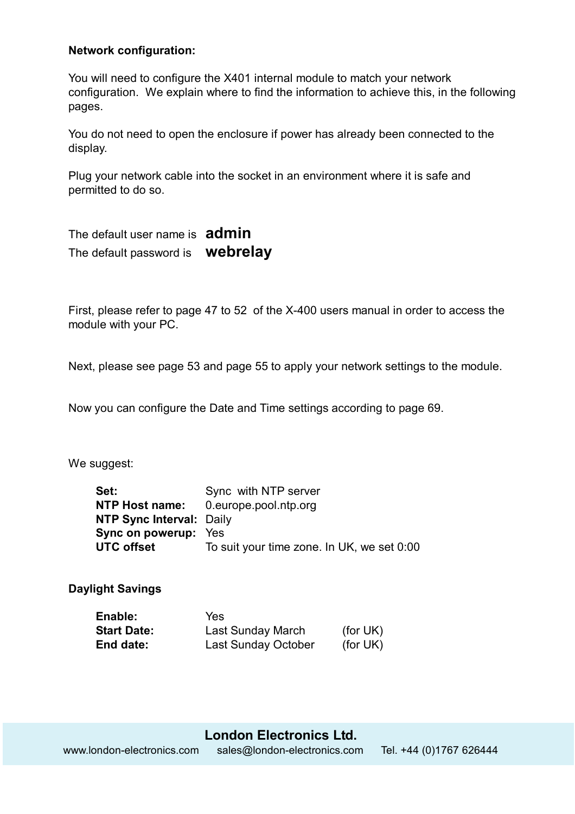#### **Network configuration:**

You will need to configure the X401 internal module to match your network configuration. We explain where to find the information to achieve this, in the following pages.

You do not need to open the enclosure if power has already been connected to the display.

Plug your network cable into the socket in an environment where it is safe and permitted to do so.

The default user name is **admin** The default password is **webrelay**

First, please refer to page 47 to 52 of the X-400 users manual in order to access the module with your PC.

Next, please see page 53 and page 55 to apply your network settings to the module.

Now you can configure the Date and Time settings according to page 69.

We suggest:

| Set:                            | Sync with NTP server                       |
|---------------------------------|--------------------------------------------|
| NTP Host name:                  | 0.europe.pool.ntp.org                      |
| <b>NTP Sync Interval: Daily</b> |                                            |
| <b>Sync on powerup:</b> Yes     |                                            |
| <b>UTC offset</b>               | To suit your time zone. In UK, we set 0:00 |

**Daylight Savings**

| Enable:            | Yes                        |             |
|--------------------|----------------------------|-------------|
| <b>Start Date:</b> | <b>Last Sunday March</b>   | (for $UK$ ) |
| End date:          | <b>Last Sunday October</b> | (for UK)    |

**London Electronics Ltd.** www.london-electronics.com [sales@london-electronics.com](mailto:sales@london-electronics.com) Tel. +44 (0)1767 626444